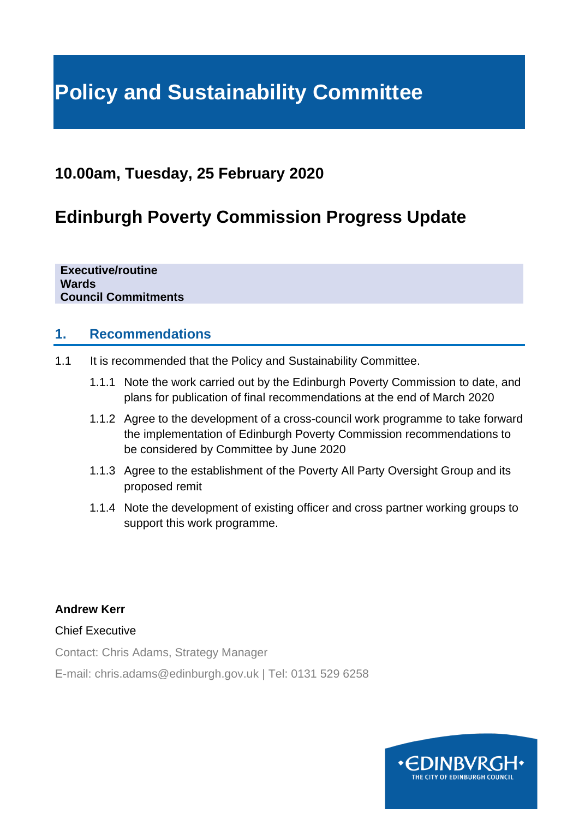# **Policy and Sustainability Committee**

# **10.00am, Tuesday, 25 February 2020**

# **Edinburgh Poverty Commission Progress Update**

**Executive/routine Wards Council Commitments**

### **1. Recommendations**

- 1.1 It is recommended that the Policy and Sustainability Committee.
	- 1.1.1 Note the work carried out by the Edinburgh Poverty Commission to date, and plans for publication of final recommendations at the end of March 2020
	- 1.1.2 Agree to the development of a cross-council work programme to take forward the implementation of Edinburgh Poverty Commission recommendations to be considered by Committee by June 2020
	- 1.1.3 Agree to the establishment of the Poverty All Party Oversight Group and its proposed remit
	- 1.1.4 Note the development of existing officer and cross partner working groups to support this work programme.

**Andrew Kerr**

Chief Executive

Contact: Chris Adams, Strategy Manager

E-mail: chris.adams@edinburgh.gov.uk | Tel: 0131 529 6258

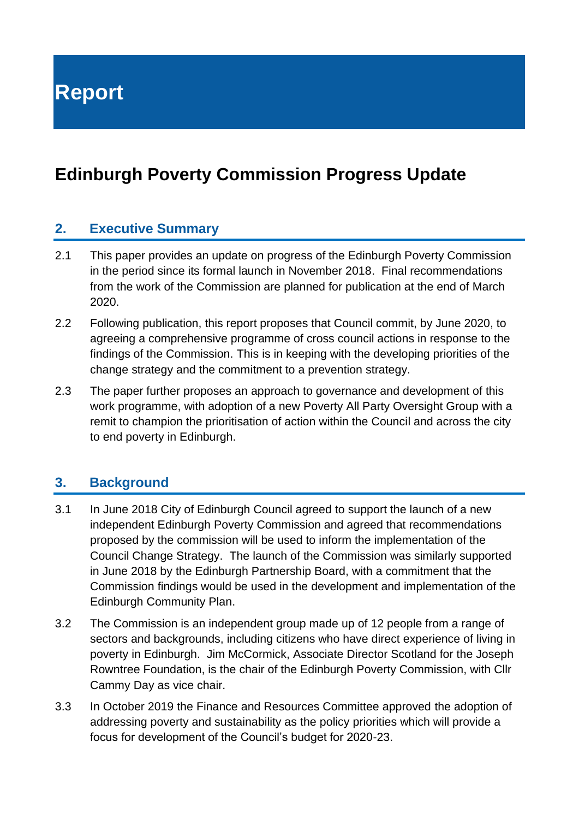**Report**

# **Edinburgh Poverty Commission Progress Update**

### **2. Executive Summary**

- 2.1 This paper provides an update on progress of the Edinburgh Poverty Commission in the period since its formal launch in November 2018. Final recommendations from the work of the Commission are planned for publication at the end of March 2020.
- 2.2 Following publication, this report proposes that Council commit, by June 2020, to agreeing a comprehensive programme of cross council actions in response to the findings of the Commission. This is in keeping with the developing priorities of the change strategy and the commitment to a prevention strategy.
- 2.3 The paper further proposes an approach to governance and development of this work programme, with adoption of a new Poverty All Party Oversight Group with a remit to champion the prioritisation of action within the Council and across the city to end poverty in Edinburgh.

## **3. Background**

- 3.1 In June 2018 City of Edinburgh Council agreed to support the launch of a new independent Edinburgh Poverty Commission and agreed that recommendations proposed by the commission will be used to inform the implementation of the Council Change Strategy. The launch of the Commission was similarly supported in June 2018 by the Edinburgh Partnership Board, with a commitment that the Commission findings would be used in the development and implementation of the Edinburgh Community Plan.
- 3.2 The Commission is an independent group made up of 12 people from a range of sectors and backgrounds, including citizens who have direct experience of living in poverty in Edinburgh. Jim McCormick, Associate Director Scotland for the Joseph Rowntree Foundation, is the chair of the Edinburgh Poverty Commission, with Cllr Cammy Day as vice chair.
- 3.3 In October 2019 the Finance and Resources Committee approved the adoption of addressing poverty and sustainability as the policy priorities which will provide a focus for development of the Council's budget for 2020-23.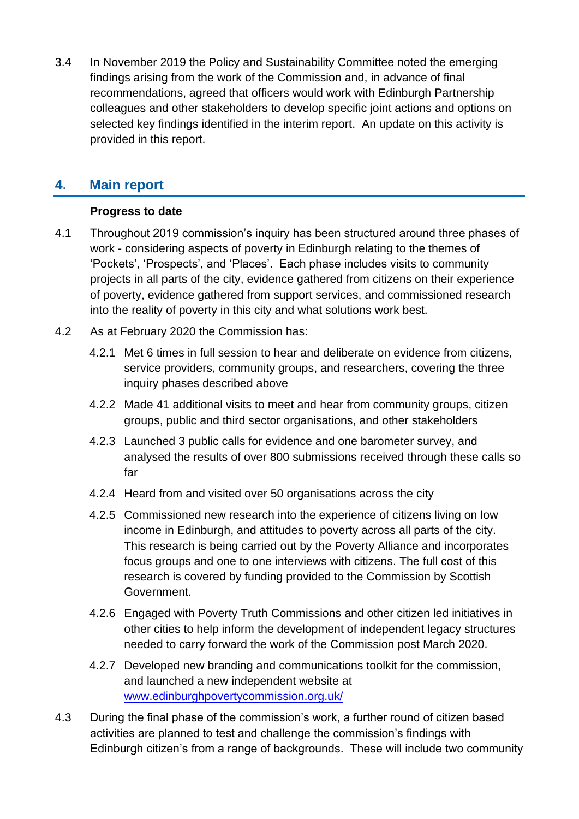3.4 In November 2019 the Policy and Sustainability Committee noted the emerging findings arising from the work of the Commission and, in advance of final recommendations, agreed that officers would work with Edinburgh Partnership colleagues and other stakeholders to develop specific joint actions and options on selected key findings identified in the interim report. An update on this activity is provided in this report.

# **4. Main report**

#### **Progress to date**

- 4.1 Throughout 2019 commission's inquiry has been structured around three phases of work - considering aspects of poverty in Edinburgh relating to the themes of 'Pockets', 'Prospects', and 'Places'. Each phase includes visits to community projects in all parts of the city, evidence gathered from citizens on their experience of poverty, evidence gathered from support services, and commissioned research into the reality of poverty in this city and what solutions work best.
- 4.2 As at February 2020 the Commission has:
	- 4.2.1 Met 6 times in full session to hear and deliberate on evidence from citizens, service providers, community groups, and researchers, covering the three inquiry phases described above
	- 4.2.2 Made 41 additional visits to meet and hear from community groups, citizen groups, public and third sector organisations, and other stakeholders
	- 4.2.3 Launched 3 public calls for evidence and one barometer survey, and analysed the results of over 800 submissions received through these calls so far
	- 4.2.4 Heard from and visited over 50 organisations across the city
	- 4.2.5 Commissioned new research into the experience of citizens living on low income in Edinburgh, and attitudes to poverty across all parts of the city. This research is being carried out by the Poverty Alliance and incorporates focus groups and one to one interviews with citizens. The full cost of this research is covered by funding provided to the Commission by Scottish Government.
	- 4.2.6 Engaged with Poverty Truth Commissions and other citizen led initiatives in other cities to help inform the development of independent legacy structures needed to carry forward the work of the Commission post March 2020.
	- 4.2.7 Developed new branding and communications toolkit for the commission, and launched a new independent website at [www.edinburghpovertycommission.org.uk/](http://www.edinburghpovertycommission.org.uk/)
- 4.3 During the final phase of the commission's work, a further round of citizen based activities are planned to test and challenge the commission's findings with Edinburgh citizen's from a range of backgrounds. These will include two community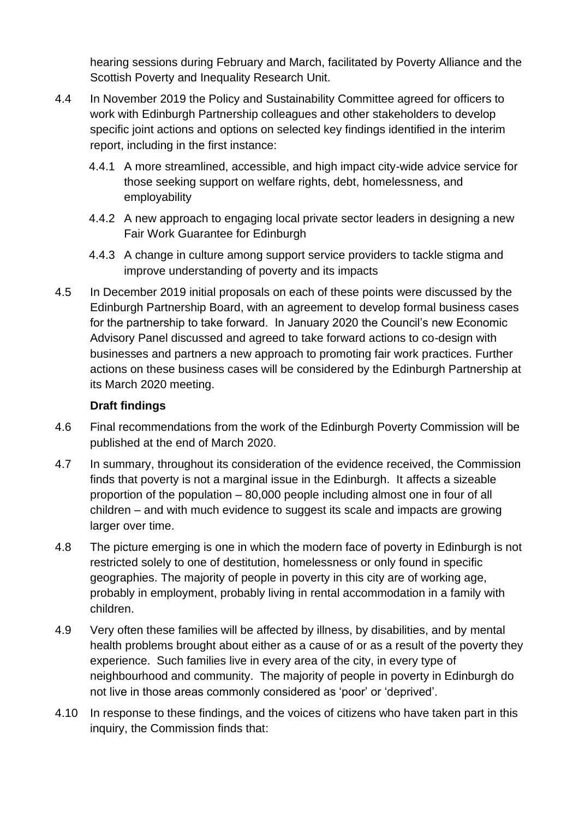hearing sessions during February and March, facilitated by Poverty Alliance and the Scottish Poverty and Inequality Research Unit.

- 4.4 In November 2019 the Policy and Sustainability Committee agreed for officers to work with Edinburgh Partnership colleagues and other stakeholders to develop specific joint actions and options on selected key findings identified in the interim report, including in the first instance:
	- 4.4.1 A more streamlined, accessible, and high impact city-wide advice service for those seeking support on welfare rights, debt, homelessness, and employability
	- 4.4.2 A new approach to engaging local private sector leaders in designing a new Fair Work Guarantee for Edinburgh
	- 4.4.3 A change in culture among support service providers to tackle stigma and improve understanding of poverty and its impacts
- 4.5 In December 2019 initial proposals on each of these points were discussed by the Edinburgh Partnership Board, with an agreement to develop formal business cases for the partnership to take forward. In January 2020 the Council's new Economic Advisory Panel discussed and agreed to take forward actions to co-design with businesses and partners a new approach to promoting fair work practices. Further actions on these business cases will be considered by the Edinburgh Partnership at its March 2020 meeting.

#### **Draft findings**

- 4.6 Final recommendations from the work of the Edinburgh Poverty Commission will be published at the end of March 2020.
- 4.7 In summary, throughout its consideration of the evidence received, the Commission finds that poverty is not a marginal issue in the Edinburgh. It affects a sizeable proportion of the population – 80,000 people including almost one in four of all children – and with much evidence to suggest its scale and impacts are growing larger over time.
- 4.8 The picture emerging is one in which the modern face of poverty in Edinburgh is not restricted solely to one of destitution, homelessness or only found in specific geographies. The majority of people in poverty in this city are of working age, probably in employment, probably living in rental accommodation in a family with children.
- 4.9 Very often these families will be affected by illness, by disabilities, and by mental health problems brought about either as a cause of or as a result of the poverty they experience. Such families live in every area of the city, in every type of neighbourhood and community. The majority of people in poverty in Edinburgh do not live in those areas commonly considered as 'poor' or 'deprived'.
- 4.10 In response to these findings, and the voices of citizens who have taken part in this inquiry, the Commission finds that: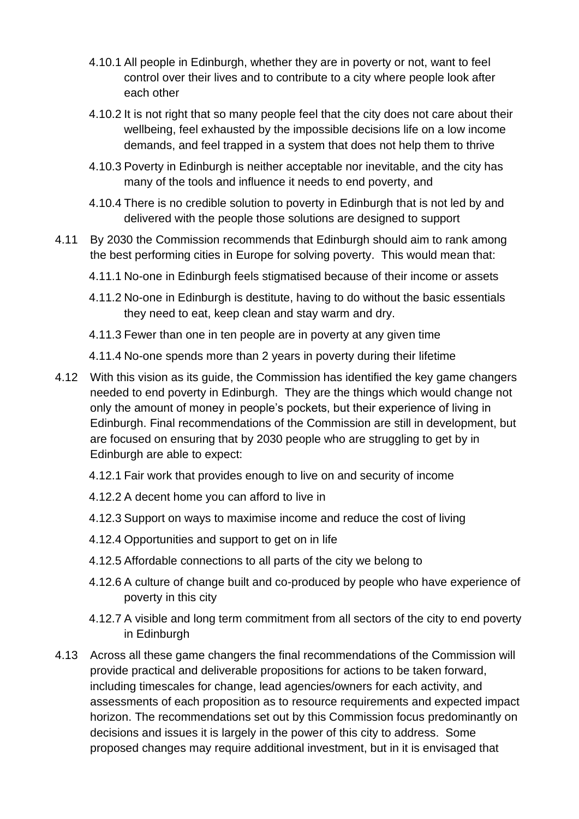- 4.10.1 All people in Edinburgh, whether they are in poverty or not, want to feel control over their lives and to contribute to a city where people look after each other
- 4.10.2 It is not right that so many people feel that the city does not care about their wellbeing, feel exhausted by the impossible decisions life on a low income demands, and feel trapped in a system that does not help them to thrive
- 4.10.3 Poverty in Edinburgh is neither acceptable nor inevitable, and the city has many of the tools and influence it needs to end poverty, and
- 4.10.4 There is no credible solution to poverty in Edinburgh that is not led by and delivered with the people those solutions are designed to support
- 4.11 By 2030 the Commission recommends that Edinburgh should aim to rank among the best performing cities in Europe for solving poverty. This would mean that:
	- 4.11.1 No-one in Edinburgh feels stigmatised because of their income or assets
	- 4.11.2 No-one in Edinburgh is destitute, having to do without the basic essentials they need to eat, keep clean and stay warm and dry.
	- 4.11.3 Fewer than one in ten people are in poverty at any given time
	- 4.11.4 No-one spends more than 2 years in poverty during their lifetime
- 4.12 With this vision as its guide, the Commission has identified the key game changers needed to end poverty in Edinburgh. They are the things which would change not only the amount of money in people's pockets, but their experience of living in Edinburgh. Final recommendations of the Commission are still in development, but are focused on ensuring that by 2030 people who are struggling to get by in Edinburgh are able to expect:
	- 4.12.1 Fair work that provides enough to live on and security of income
	- 4.12.2 A decent home you can afford to live in
	- 4.12.3 Support on ways to maximise income and reduce the cost of living
	- 4.12.4 Opportunities and support to get on in life
	- 4.12.5 Affordable connections to all parts of the city we belong to
	- 4.12.6 A culture of change built and co-produced by people who have experience of poverty in this city
	- 4.12.7 A visible and long term commitment from all sectors of the city to end poverty in Edinburgh
- 4.13 Across all these game changers the final recommendations of the Commission will provide practical and deliverable propositions for actions to be taken forward, including timescales for change, lead agencies/owners for each activity, and assessments of each proposition as to resource requirements and expected impact horizon. The recommendations set out by this Commission focus predominantly on decisions and issues it is largely in the power of this city to address. Some proposed changes may require additional investment, but in it is envisaged that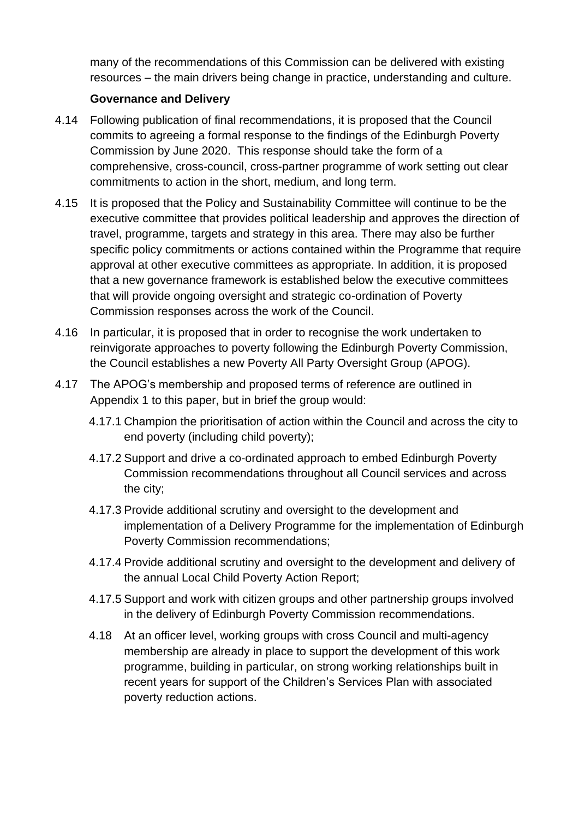many of the recommendations of this Commission can be delivered with existing resources – the main drivers being change in practice, understanding and culture.

#### **Governance and Delivery**

- 4.14 Following publication of final recommendations, it is proposed that the Council commits to agreeing a formal response to the findings of the Edinburgh Poverty Commission by June 2020. This response should take the form of a comprehensive, cross-council, cross-partner programme of work setting out clear commitments to action in the short, medium, and long term.
- 4.15 It is proposed that the Policy and Sustainability Committee will continue to be the executive committee that provides political leadership and approves the direction of travel, programme, targets and strategy in this area. There may also be further specific policy commitments or actions contained within the Programme that require approval at other executive committees as appropriate. In addition, it is proposed that a new governance framework is established below the executive committees that will provide ongoing oversight and strategic co-ordination of Poverty Commission responses across the work of the Council.
- 4.16 In particular, it is proposed that in order to recognise the work undertaken to reinvigorate approaches to poverty following the Edinburgh Poverty Commission, the Council establishes a new Poverty All Party Oversight Group (APOG).
- 4.17 The APOG's membership and proposed terms of reference are outlined in Appendix 1 to this paper, but in brief the group would:
	- 4.17.1 Champion the prioritisation of action within the Council and across the city to end poverty (including child poverty);
	- 4.17.2 Support and drive a co-ordinated approach to embed Edinburgh Poverty Commission recommendations throughout all Council services and across the city;
	- 4.17.3 Provide additional scrutiny and oversight to the development and implementation of a Delivery Programme for the implementation of Edinburgh Poverty Commission recommendations;
	- 4.17.4 Provide additional scrutiny and oversight to the development and delivery of the annual Local Child Poverty Action Report;
	- 4.17.5 Support and work with citizen groups and other partnership groups involved in the delivery of Edinburgh Poverty Commission recommendations.
	- 4.18 At an officer level, working groups with cross Council and multi-agency membership are already in place to support the development of this work programme, building in particular, on strong working relationships built in recent years for support of the Children's Services Plan with associated poverty reduction actions.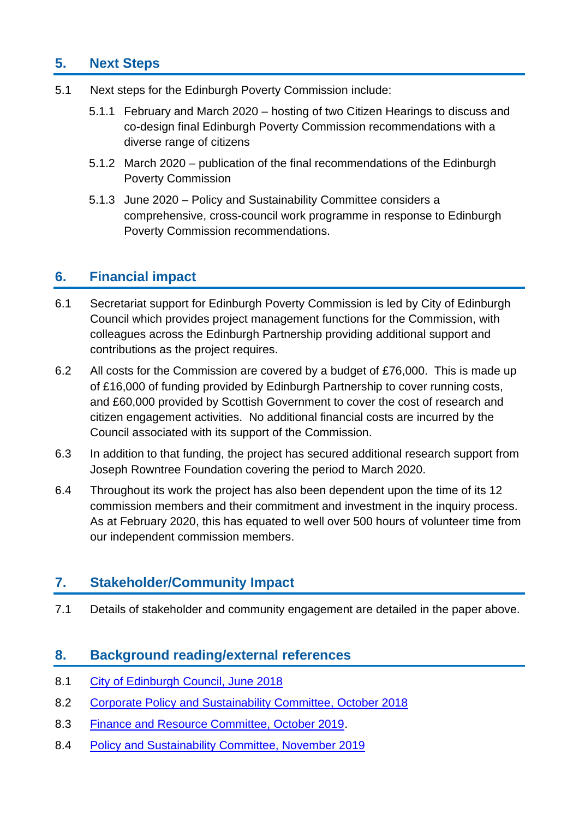# **5. Next Steps**

- 5.1 Next steps for the Edinburgh Poverty Commission include:
	- 5.1.1 February and March 2020 hosting of two Citizen Hearings to discuss and co-design final Edinburgh Poverty Commission recommendations with a diverse range of citizens
	- 5.1.2 March 2020 publication of the final recommendations of the Edinburgh Poverty Commission
	- 5.1.3 June 2020 Policy and Sustainability Committee considers a comprehensive, cross-council work programme in response to Edinburgh Poverty Commission recommendations.

## **6. Financial impact**

- 6.1 Secretariat support for Edinburgh Poverty Commission is led by City of Edinburgh Council which provides project management functions for the Commission, with colleagues across the Edinburgh Partnership providing additional support and contributions as the project requires.
- 6.2 All costs for the Commission are covered by a budget of £76,000. This is made up of £16,000 of funding provided by Edinburgh Partnership to cover running costs, and £60,000 provided by Scottish Government to cover the cost of research and citizen engagement activities. No additional financial costs are incurred by the Council associated with its support of the Commission.
- 6.3 In addition to that funding, the project has secured additional research support from Joseph Rowntree Foundation covering the period to March 2020.
- 6.4 Throughout its work the project has also been dependent upon the time of its 12 commission members and their commitment and investment in the inquiry process. As at February 2020, this has equated to well over 500 hours of volunteer time from our independent commission members.

# **7. Stakeholder/Community Impact**

7.1 Details of stakeholder and community engagement are detailed in the paper above.

## **8. Background reading/external references**

- 8.1 City of Edinburgh [Council, June 2018](https://democracy.edinburgh.gov.uk/Data/City%20of%20Edinburgh%20Council/20180628/Agenda/item_85_-_edinburgh_poverty_commission.pdf)
- 8.2 [Corporate Policy and Sustainability Committee, October 2018](https://democracy.edinburgh.gov.uk/Data/Corporate%20Policy%20and%20Strategy%20Committee/20181002/Agenda/item_72_-_edinburgh_poverty_commission.pdf)
- 8.3 [Finance and Resource Committee, October 2019.](https://democracy.edinburgh.gov.uk/documents/s9369/Council%20Change%20Strategy_Planning%20for%20Change%20and%20Delivering%20Services%202019-23.pdf)
- 8.4 [Policy and Sustainability Committee, November 2019](https://democracy.edinburgh.gov.uk/documents/s11195/Item%207.4%20-%20Edinburgh%20Poverty%20Commission%20Progress%20Update.pdf)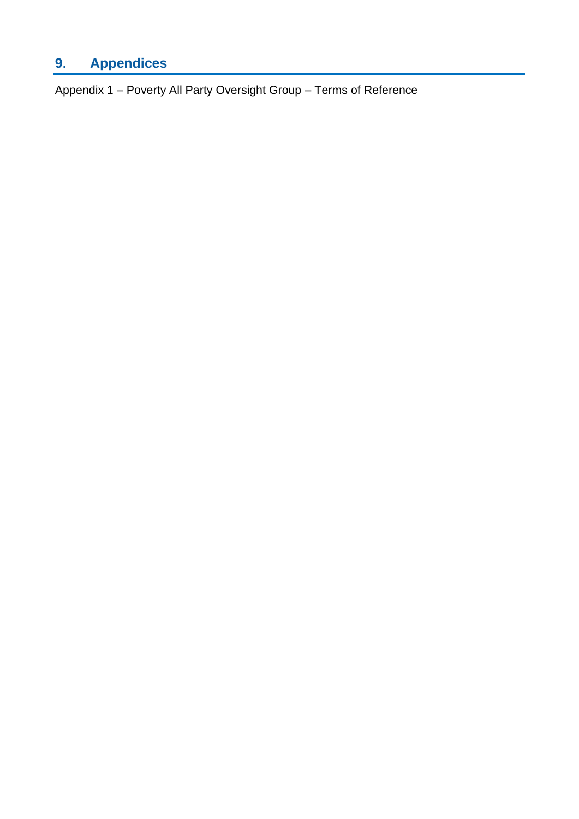# **9. Appendices**

Appendix 1 – Poverty All Party Oversight Group – Terms of Reference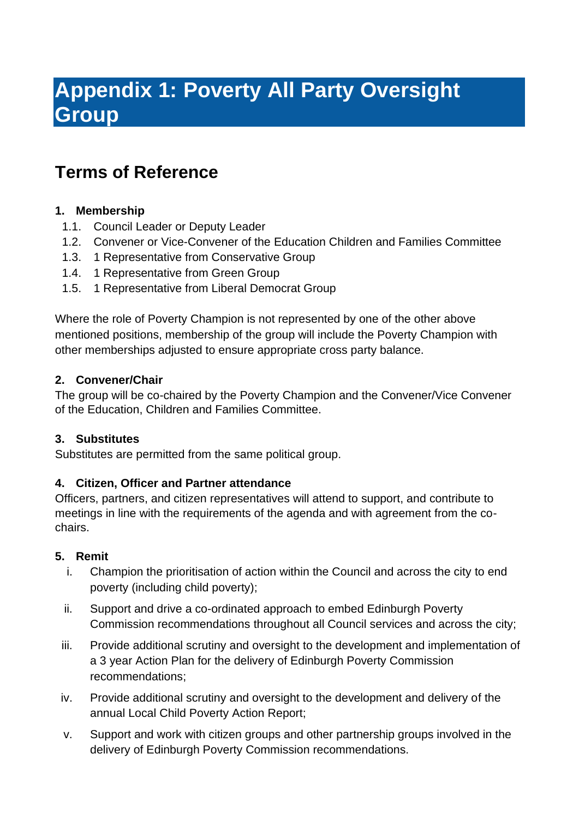# **Appendix 1: Poverty All Party Oversight Group**

# **Terms of Reference**

### **1. Membership**

- 1.1. Council Leader or Deputy Leader
- 1.2. Convener or Vice-Convener of the Education Children and Families Committee
- 1.3. 1 Representative from Conservative Group
- 1.4. 1 Representative from Green Group
- 1.5. 1 Representative from Liberal Democrat Group

Where the role of Poverty Champion is not represented by one of the other above mentioned positions, membership of the group will include the Poverty Champion with other memberships adjusted to ensure appropriate cross party balance.

#### **2. Convener/Chair**

The group will be co-chaired by the Poverty Champion and the Convener/Vice Convener of the Education, Children and Families Committee.

#### **3. Substitutes**

Substitutes are permitted from the same political group.

#### **4. Citizen, Officer and Partner attendance**

Officers, partners, and citizen representatives will attend to support, and contribute to meetings in line with the requirements of the agenda and with agreement from the cochairs.

#### **5. Remit**

- i. Champion the prioritisation of action within the Council and across the city to end poverty (including child poverty);
- ii. Support and drive a co-ordinated approach to embed Edinburgh Poverty Commission recommendations throughout all Council services and across the city;
- iii. Provide additional scrutiny and oversight to the development and implementation of a 3 year Action Plan for the delivery of Edinburgh Poverty Commission recommendations;
- iv. Provide additional scrutiny and oversight to the development and delivery of the annual Local Child Poverty Action Report;
- v. Support and work with citizen groups and other partnership groups involved in the delivery of Edinburgh Poverty Commission recommendations.